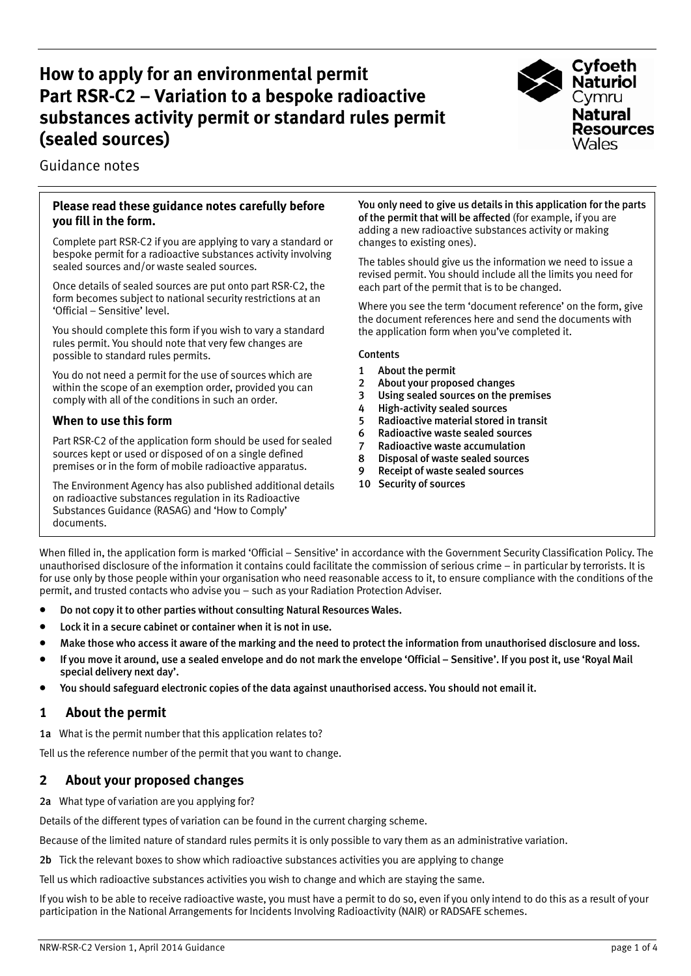# **How to apply for an environmental permit Part RSR-C2 – Variation to a bespoke radioactive substances activity permit or standard rules permit (sealed sources)**



Guidance notes

### **Please read these guidance notes carefully before you fill in the form.**

Complete part RSR-C2 if you are applying to vary a standard or bespoke permit for a radioactive substances activity involving sealed sources and/or waste sealed sources.

Once details of sealed sources are put onto part RSR-C2, the form becomes subject to national security restrictions at an 'Official – Sensitive' level.

You should complete this form if you wish to vary a standard rules permit. You should note that very few changes are possible to standard rules permits.

You do not need a permit for the use of sources which are within the scope of an exemption order, provided you can comply with all of the conditions in such an order.

# **When to use this form**

Part RSR-C2 of the application form should be used for sealed sources kept or used or disposed of on a single defined premises or in the form of mobile radioactive apparatus.

The Environment Agency has also published additional details on radioactive substances regulation in its Radioactive Substances Guidance (RASAG) and 'How to Comply' documents.

You only need to give us details in this application for the parts of the permit that will be affected (for example, if you are adding a new radioactive substances activity or making changes to existing ones).

The tables should give us the information we need to issue a revised permit. You should include all the limits you need for each part of the permit that is to be changed.

Where you see the term 'document reference' on the form, give the document references here and send the documents with the application form when you've completed it.

#### **Contents**

- 1 About the permit
- 2 About your proposed changes
- 3 Using sealed sources on the premises
- 4 High-activity sealed sources
- 5 Radioactive material stored in transit
- 6 Radioactive waste sealed sources
- 7 Radioactive waste accumulation
- 8 Disposal of waste sealed sources
- 9 Receipt of waste sealed sources
- 10 Security of sources

When filled in, the application form is marked 'Official – Sensitive' in accordance with the Government Security Classification Policy. The unauthorised disclosure of the information it contains could facilitate the commission of serious crime – in particular by terrorists. It is for use only by those people within your organisation who need reasonable access to it, to ensure compliance with the conditions of the permit, and trusted contacts who advise you – such as your Radiation Protection Adviser.

- Do not copy it to other parties without consulting Natural Resources Wales.
- Lock it in a secure cabinet or container when it is not in use.
- Make those who access it aware of the marking and the need to protect the information from unauthorised disclosure and loss.
- If you move it around, use a sealed envelope and do not mark the envelope 'Official Sensitive'. If you post it, use 'Royal Mail special delivery next day'.
- You should safeguard electronic copies of the data against unauthorised access. You should not email it.

# **1 About the permit**

1a What is the permit number that this application relates to?

Tell us the reference number of the permit that you want to change.

# **2 About your proposed changes**

2a What type of variation are you applying for?

Details of the different types of variation can be found in the current charging scheme.

Because of the limited nature of standard rules permits it is only possible to vary them as an administrative variation.

2b Tick the relevant boxes to show which radioactive substances activities you are applying to change

Tell us which radioactive substances activities you wish to change and which are staying the same.

If you wish to be able to receive radioactive waste, you must have a permit to do so, even if you only intend to do this as a result of your participation in the National Arrangements for Incidents Involving Radioactivity (NAIR) or RADSAFE schemes.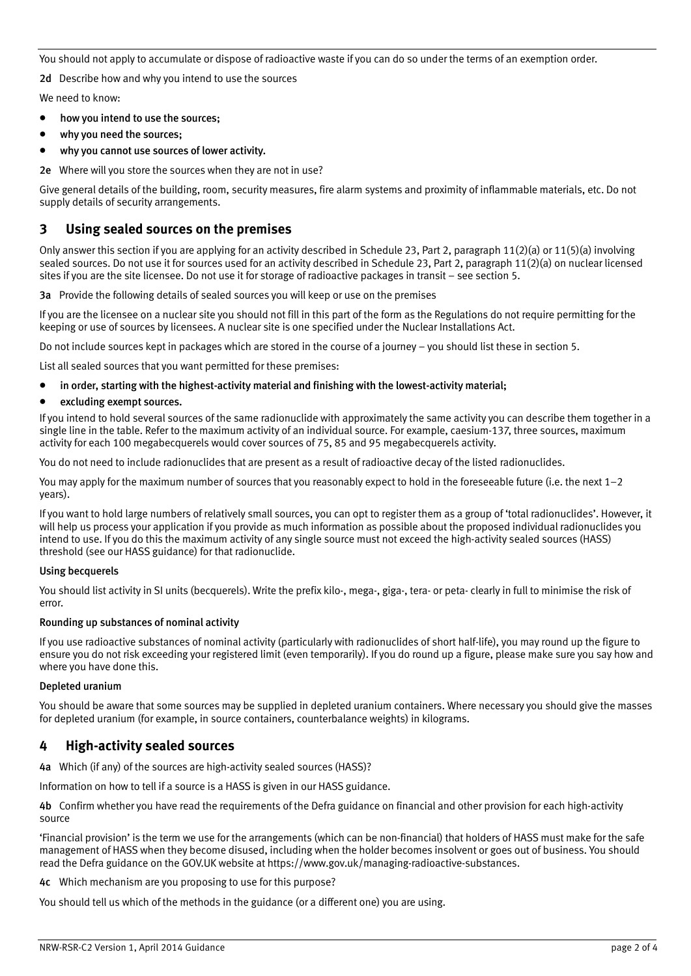You should not apply to accumulate or dispose of radioactive waste if you can do so under the terms of an exemption order.

2d Describe how and why you intend to use the sources

We need to know:

- how you intend to use the sources;
- why you need the sources:
- why you cannot use sources of lower activity.
- 2e Where will you store the sources when they are not in use?

Give general details of the building, room, security measures, fire alarm systems and proximity of inflammable materials, etc. Do not supply details of security arrangements.

## **3 Using sealed sources on the premises**

Only answer this section if you are applying for an activity described in Schedule 23, Part 2, paragraph  $11(2)(a)$  or  $11(5)(a)$  involving sealed sources. Do not use it for sources used for an activity described in Schedule 23, Part 2, paragraph 11(2)(a) on nuclear licensed sites if you are the site licensee. Do not use it for storage of radioactive packages in transit – see section 5.

3a Provide the following details of sealed sources you will keep or use on the premises

If you are the licensee on a nuclear site you should not fill in this part of the form as the Regulations do not require permitting for the keeping or use of sources by licensees. A nuclear site is one specified under the Nuclear Installations Act.

Do not include sources kept in packages which are stored in the course of a journey – you should list these in section 5.

List all sealed sources that you want permitted for these premises:

- in order, starting with the highest-activity material and finishing with the lowest-activity material;
- excluding exempt sources.

If you intend to hold several sources of the same radionuclide with approximately the same activity you can describe them together in a single line in the table. Refer to the maximum activity of an individual source. For example, caesium-137, three sources, maximum activity for each 100 megabecquerels would cover sources of 75, 85 and 95 megabecquerels activity.

You do not need to include radionuclides that are present as a result of radioactive decay of the listed radionuclides.

You may apply for the maximum number of sources that you reasonably expect to hold in the foreseeable future (i.e. the next 1–2 years).

If you want to hold large numbers of relatively small sources, you can opt to register them as a group of 'total radionuclides'. However, it will help us process your application if you provide as much information as possible about the proposed individual radionuclides you intend to use. If you do this the maximum activity of any single source must not exceed the high-activity sealed sources (HASS) threshold (see our HASS guidance) for that radionuclide.

#### Using becquerels

You should list activity in SI units (becquerels). Write the prefix kilo-, mega-, giga-, tera- or peta- clearly in full to minimise the risk of error.

#### Rounding up substances of nominal activity

If you use radioactive substances of nominal activity (particularly with radionuclides of short half-life), you may round up the figure to ensure you do not risk exceeding your registered limit (even temporarily). If you do round up a figure, please make sure you say how and where you have done this.

#### Depleted uranium

You should be aware that some sources may be supplied in depleted uranium containers. Where necessary you should give the masses for depleted uranium (for example, in source containers, counterbalance weights) in kilograms.

### **4 High-activity sealed sources**

4a Which (if any) of the sources are high-activity sealed sources (HASS)?

Information on how to tell if a source is a HASS is given in our HASS guidance.

4b Confirm whether you have read the requirements of the Defra guidance on financial and other provision for each high-activity source

'Financial provision' is the term we use for the arrangements (which can be non-financial) that holders of HASS must make for the safe management of HASS when they become disused, including when the holder becomes insolvent or goes out of business. You should read the Defra guidance on the GOV.UK website at https://www.gov.uk/managing-radioactive-substances.

4c Which mechanism are you proposing to use for this purpose?

You should tell us which of the methods in the guidance (or a different one) you are using.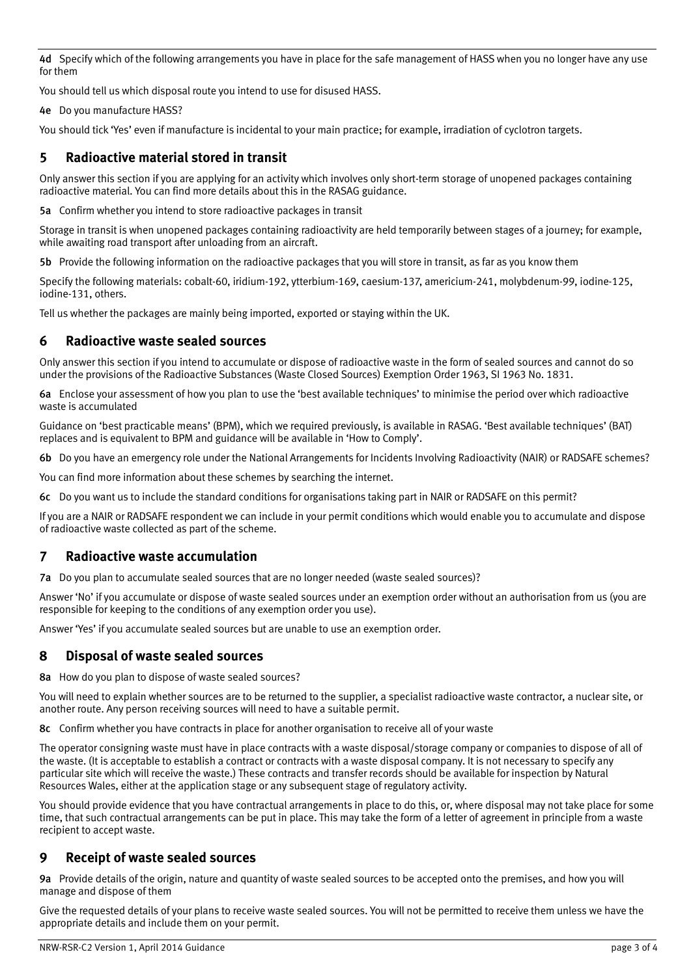4d Specify which of the following arrangements you have in place for the safe management of HASS when you no longer have any use for them

You should tell us which disposal route you intend to use for disused HASS.

4e Do you manufacture HASS?

You should tick 'Yes' even if manufacture is incidental to your main practice; for example, irradiation of cyclotron targets.

# **5 Radioactive material stored in transit**

Only answer this section if you are applying for an activity which involves only short-term storage of unopened packages containing radioactive material. You can find more details about this in the RASAG guidance.

5a Confirm whether you intend to store radioactive packages in transit

Storage in transit is when unopened packages containing radioactivity are held temporarily between stages of a journey; for example, while awaiting road transport after unloading from an aircraft.

5b Provide the following information on the radioactive packages that you will store in transit, as far as you know them

Specify the following materials: cobalt-60, iridium-192, ytterbium-169, caesium-137, americium-241, molybdenum-99, iodine-125, iodine-131, others.

Tell us whether the packages are mainly being imported, exported or staying within the UK.

### **6 Radioactive waste sealed sources**

Only answer this section if you intend to accumulate or dispose of radioactive waste in the form of sealed sources and cannot do so under the provisions of the Radioactive Substances (Waste Closed Sources) Exemption Order 1963, SI 1963 No. 1831.

6a Enclose your assessment of how you plan to use the 'best available techniques' to minimise the period over which radioactive waste is accumulated

Guidance on 'best practicable means' (BPM), which we required previously, is available in RASAG. 'Best available techniques' (BAT) replaces and is equivalent to BPM and guidance will be available in 'How to Comply'.

6b Do you have an emergency role under the National Arrangements for Incidents Involving Radioactivity (NAIR) or RADSAFE schemes?

You can find more information about these schemes by searching the internet.

6c Do you want us to include the standard conditions for organisations taking part in NAIR or RADSAFE on this permit?

If you are a NAIR or RADSAFE respondent we can include in your permit conditions which would enable you to accumulate and dispose of radioactive waste collected as part of the scheme.

# **7 Radioactive waste accumulation**

7a Do you plan to accumulate sealed sources that are no longer needed (waste sealed sources)?

Answer 'No' if you accumulate or dispose of waste sealed sources under an exemption order without an authorisation from us (you are responsible for keeping to the conditions of any exemption order you use).

Answer 'Yes' if you accumulate sealed sources but are unable to use an exemption order.

### **8 Disposal of waste sealed sources**

8a How do you plan to dispose of waste sealed sources?

You will need to explain whether sources are to be returned to the supplier, a specialist radioactive waste contractor, a nuclear site, or another route. Any person receiving sources will need to have a suitable permit.

8c Confirm whether you have contracts in place for another organisation to receive all of your waste

The operator consigning waste must have in place contracts with a waste disposal/storage company or companies to dispose of all of the waste. (It is acceptable to establish a contract or contracts with a waste disposal company. It is not necessary to specify any particular site which will receive the waste.) These contracts and transfer records should be available for inspection by Natural Resources Wales, either at the application stage or any subsequent stage of regulatory activity.

You should provide evidence that you have contractual arrangements in place to do this, or, where disposal may not take place for some time, that such contractual arrangements can be put in place. This may take the form of a letter of agreement in principle from a waste recipient to accept waste.

### **9 Receipt of waste sealed sources**

9a Provide details of the origin, nature and quantity of waste sealed sources to be accepted onto the premises, and how you will manage and dispose of them

Give the requested details of your plans to receive waste sealed sources. You will not be permitted to receive them unless we have the appropriate details and include them on your permit.